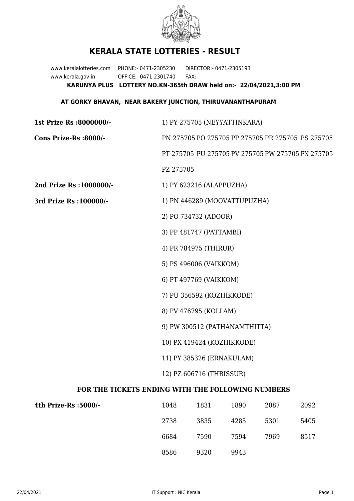

## **KERALA STATE LOTTERIES - RESULT**

www.keralalotteries.com PHONE:- 0471-2305230 DIRECTOR:- 0471-2305193 www.kerala.gov.in OFFICE:- 0471-2301740 FAX:- **KARUNYA PLUS LOTTERY NO.KN-365th DRAW held on:- 22/04/2021,3:00 PM**

## **AT GORKY BHAVAN, NEAR BAKERY JUNCTION, THIRUVANANTHAPURAM**

| 1st Prize Rs :8000000/-                                  |                                                   | 1) PY 275705 (NEYYATTINKARA) |      |      |                                                   |  |  |
|----------------------------------------------------------|---------------------------------------------------|------------------------------|------|------|---------------------------------------------------|--|--|
| Cons Prize-Rs :8000/-                                    | PN 275705 PO 275705 PP 275705 PR 275705 PS 275705 |                              |      |      |                                                   |  |  |
|                                                          |                                                   |                              |      |      | PT 275705 PU 275705 PV 275705 PW 275705 PX 275705 |  |  |
|                                                          | PZ 275705                                         |                              |      |      |                                                   |  |  |
| 2nd Prize Rs : 1000000/-                                 |                                                   | 1) PY 623216 (ALAPPUZHA)     |      |      |                                                   |  |  |
| 3rd Prize Rs : 100000/-                                  | 1) PN 446289 (MOOVATTUPUZHA)                      |                              |      |      |                                                   |  |  |
|                                                          |                                                   | 2) PO 734732 (ADOOR)         |      |      |                                                   |  |  |
|                                                          |                                                   | 3) PP 481747 (PATTAMBI)      |      |      |                                                   |  |  |
|                                                          |                                                   | 4) PR 784975 (THIRUR)        |      |      |                                                   |  |  |
|                                                          |                                                   | 5) PS 496006 (VAIKKOM)       |      |      |                                                   |  |  |
|                                                          |                                                   | 6) PT 497769 (VAIKKOM)       |      |      |                                                   |  |  |
|                                                          |                                                   | 7) PU 356592 (KOZHIKKODE)    |      |      |                                                   |  |  |
|                                                          | 8) PV 476795 (KOLLAM)                             |                              |      |      |                                                   |  |  |
|                                                          | 9) PW 300512 (PATHANAMTHITTA)                     |                              |      |      |                                                   |  |  |
|                                                          | 10) PX 419424 (KOZHIKKODE)                        |                              |      |      |                                                   |  |  |
|                                                          | 11) PY 385326 (ERNAKULAM)                         |                              |      |      |                                                   |  |  |
|                                                          | 12) PZ 606716 (THRISSUR)                          |                              |      |      |                                                   |  |  |
| <b>FOR THE TICKETS ENDING WITH THE FOLLOWING NUMBERS</b> |                                                   |                              |      |      |                                                   |  |  |
| 4th Prize-Rs :5000/-                                     | 1048                                              | 1831                         | 1890 | 2087 | 2092                                              |  |  |

| 4th Prize-Rs :5000/- | 1048 | 1831 | 1890 | 2087 | 2092 |
|----------------------|------|------|------|------|------|
|                      | 2738 | 3835 | 4285 | 5301 | 5405 |
|                      | 6684 | 7590 | 7594 | 7969 | 8517 |
|                      | 8586 | 9320 | 9943 |      |      |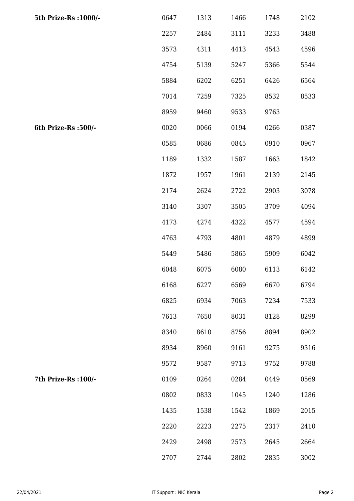| 5th Prize-Rs : 1000/- | 0647 | 1313 | 1466 | 1748 | 2102 |
|-----------------------|------|------|------|------|------|
|                       | 2257 | 2484 | 3111 | 3233 | 3488 |
|                       | 3573 | 4311 | 4413 | 4543 | 4596 |
|                       | 4754 | 5139 | 5247 | 5366 | 5544 |
|                       | 5884 | 6202 | 6251 | 6426 | 6564 |
|                       | 7014 | 7259 | 7325 | 8532 | 8533 |
|                       | 8959 | 9460 | 9533 | 9763 |      |
| 6th Prize-Rs :500/-   | 0020 | 0066 | 0194 | 0266 | 0387 |
|                       | 0585 | 0686 | 0845 | 0910 | 0967 |
|                       | 1189 | 1332 | 1587 | 1663 | 1842 |
|                       | 1872 | 1957 | 1961 | 2139 | 2145 |
|                       | 2174 | 2624 | 2722 | 2903 | 3078 |
|                       | 3140 | 3307 | 3505 | 3709 | 4094 |
|                       | 4173 | 4274 | 4322 | 4577 | 4594 |
|                       | 4763 | 4793 | 4801 | 4879 | 4899 |
|                       | 5449 | 5486 | 5865 | 5909 | 6042 |
|                       | 6048 | 6075 | 6080 | 6113 | 6142 |
|                       | 6168 | 6227 | 6569 | 6670 | 6794 |
|                       | 6825 | 6934 | 7063 | 7234 | 7533 |
|                       | 7613 | 7650 | 8031 | 8128 | 8299 |
|                       | 8340 | 8610 | 8756 | 8894 | 8902 |
|                       | 8934 | 8960 | 9161 | 9275 | 9316 |
|                       | 9572 | 9587 | 9713 | 9752 | 9788 |
| 7th Prize-Rs : 100/-  | 0109 | 0264 | 0284 | 0449 | 0569 |
|                       | 0802 | 0833 | 1045 | 1240 | 1286 |
|                       | 1435 | 1538 | 1542 | 1869 | 2015 |
|                       | 2220 | 2223 | 2275 | 2317 | 2410 |
|                       | 2429 | 2498 | 2573 | 2645 | 2664 |
|                       | 2707 | 2744 | 2802 | 2835 | 3002 |